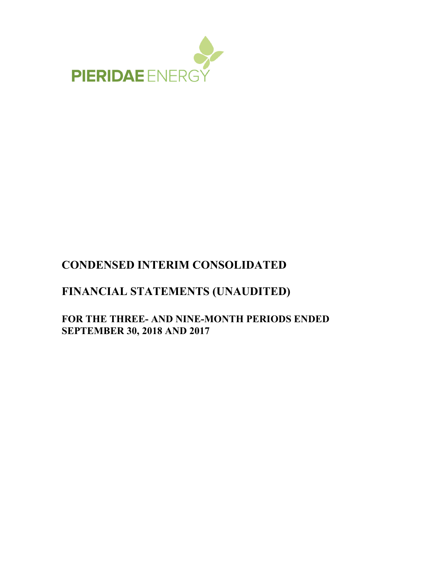

# **CONDENSED INTERIM CONSOLIDATED**

# **FINANCIAL STATEMENTS (UNAUDITED)**

# **FOR THE THREE- AND NINE-MONTH PERIODS ENDED SEPTEMBER 30, 2018 AND 2017**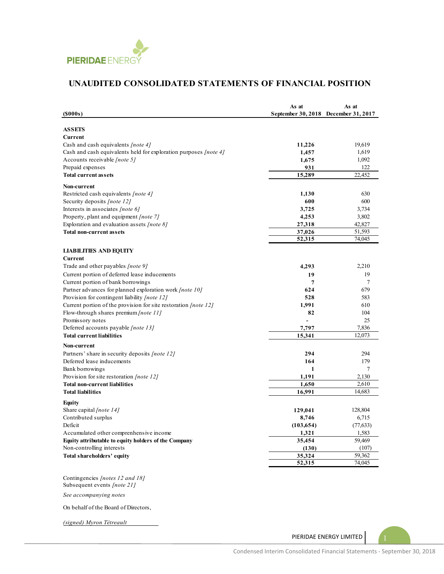

# **UNAUDITED CONSOLIDATED STATEMENTS OF FINANCIAL POSITION**

| $($ \$000s $)$                                                   | As at<br>September 30, 2018 December 31, 2017 | As at     |
|------------------------------------------------------------------|-----------------------------------------------|-----------|
| <b>ASSETS</b>                                                    |                                               |           |
| Current                                                          |                                               |           |
| Cash and cash equivalents [note 4]                               | 11,226                                        | 19,619    |
| Cash and cash equivalents held for exploration purposes [note 4] | 1,457                                         | 1,619     |
| Accounts receivable <i>[note 5]</i>                              | 1,675                                         | 1,092     |
| Prepaid expenses                                                 | 931                                           | 122       |
| <b>Total current assets</b>                                      | 15,289                                        | 22,452    |
| Non-current                                                      |                                               |           |
| Restricted cash equivalents [note 4]                             | 1,130                                         | 630       |
| Security deposits [note 12]                                      | 600                                           | 600       |
| Interests in associates [note 6]                                 | 3,725                                         | 3,734     |
| Property, plant and equipment [note 7]                           | 4,253                                         | 3,802     |
| Exploration and evaluation assets $[note 8]$                     | 27,318                                        | 42,827    |
| <b>Total non-current assets</b>                                  | 37,026                                        | 51,593    |
|                                                                  | 52,315                                        | 74,045    |
| <b>LIABILITIES AND EQUITY</b>                                    |                                               |           |
| Current                                                          |                                               |           |
| Trade and other payables [note 9]                                | 4,293                                         | 2,210     |
| Current portion of deferred lease inducements                    | 19                                            | 19        |
| Current portion of bank borrowings                               | 7                                             | 7         |
| Partner advances for planned exploration work [note 10]          | 624                                           | 679       |
| Provision for contingent liability [note 12]                     | 528                                           | 583       |
| Current portion of the provision for site restoration [note 12]  | 1,991                                         | 610       |
| Flow-through shares premium [note 11]                            | 82                                            | 104       |
| Promissory notes                                                 |                                               | 25        |
| Deferred accounts payable [note 13]                              | 7,797                                         | 7,836     |
| <b>Total current liabilities</b>                                 | 15,341                                        | 12,073    |
| Non-current                                                      |                                               |           |
| Partners' share in security deposits <i>[note 12]</i>            | 294                                           | 294       |
| Deferred lease inducements                                       | 164                                           | 179       |
| Bank borrowings                                                  | 1                                             | 7         |
| Provision for site restoration <i>[note 12]</i>                  | 1,191                                         | 2,130     |
| <b>Total non-current liabilities</b>                             | 1,650                                         | 2,610     |
| <b>Total liabilities</b>                                         | 16,991                                        | 14,683    |
| Equity                                                           |                                               |           |
| Share capital [note 14]                                          | 129,041                                       | 128,804   |
| Contributed surplus                                              | 8,746                                         | 6,715     |
| Deficit                                                          | (103, 654)                                    | (77, 633) |
| Accumulated other comprenhensive income                          | 1,321                                         | 1,583     |
| Equity attributable to equity holders of the Company             | 35,454                                        | 59,469    |
| Non-controlling interests                                        | (130)                                         | (107)     |
| Total shareholders' equity                                       | 35,324                                        | 59,362    |
|                                                                  | 52,315                                        | 74,045    |
| Contingencies [notes 12 and 18]<br>Subsequent events [note 21]   |                                               |           |

*See accompanying notes*

On behalf of the Board of Directors,

*(signed) Myron Tétreault*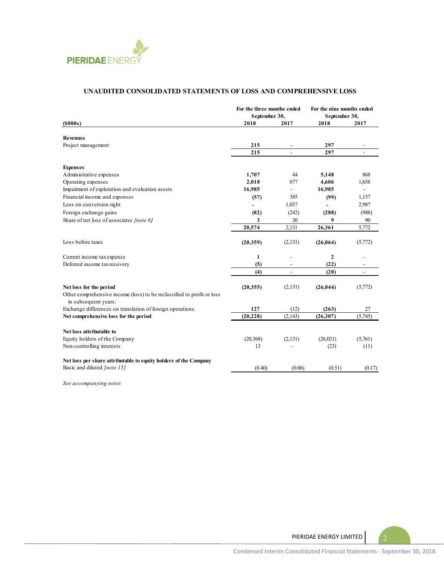

#### **UNAUDITED CONSOLIDATED STATEMENTS OF LOSS AND COMPREHENSIVE LOSS**

|                                                                                                | For the three months ended<br>September 30, |                          | For the nine months ended<br>September 30, |                          |
|------------------------------------------------------------------------------------------------|---------------------------------------------|--------------------------|--------------------------------------------|--------------------------|
| (S000s)                                                                                        | 2018                                        | 2017                     | 2018                                       | 2017                     |
| <b>Revenues</b>                                                                                |                                             |                          |                                            |                          |
| Project management                                                                             | 215                                         |                          | 297                                        |                          |
|                                                                                                | 215                                         |                          | 297                                        |                          |
| <b>Expenses</b>                                                                                |                                             |                          |                                            |                          |
| Administrative expenses                                                                        | 1,707                                       | 44                       | 5,148                                      | 868                      |
| Operating expenses                                                                             | 2,018                                       | 877                      | 4,606                                      | 1,658                    |
| Impairment of exploration and evaluation assets                                                | 16,985                                      | $\overline{\phantom{0}}$ | 16,985                                     | $\frac{1}{2}$            |
| Financial income and expenses                                                                  | (57)                                        | 385                      | (99)                                       | 1,157                    |
| Loss on conversion right                                                                       |                                             | 1,037                    |                                            | 2,987                    |
| Foreign exchange gains                                                                         | (82)                                        | (242)                    | (288)                                      | (988)                    |
| Share of net loss of associates [note 6]                                                       | 3                                           | 30                       | 9                                          | 90                       |
|                                                                                                | 20,574                                      | 2,131                    | 26,361                                     | 5,772                    |
| Loss before taxes                                                                              | (20, 359)                                   | (2,131)                  | (26, 064)                                  | (5,772)                  |
| Current income tax expense                                                                     | $\mathbf{1}$                                |                          | $\mathbf{2}$                               |                          |
| Deferred income tax recovery                                                                   | (5)                                         |                          | (22)                                       |                          |
|                                                                                                | (4)                                         | $\overline{\phantom{a}}$ | (20)                                       | $\overline{\phantom{a}}$ |
| Net loss for the period                                                                        | (20, 355)                                   | (2, 131)                 | (26, 044)                                  | (5,772)                  |
| Other comprehensive income (loss) to be reclassified to profit or loss<br>in subsequent years: |                                             |                          |                                            |                          |
| Exchange differences on translation of foreign operations                                      | 127                                         | (12)                     | (263)                                      | 27                       |
| Net comprehensive loss for the period                                                          | (20, 228)                                   | (2,143)                  | (26, 307)                                  | (5,745)                  |
| Net loss attributable to                                                                       |                                             |                          |                                            |                          |
| Equity holders of the Company                                                                  | (20, 368)                                   | (2, 131)                 | (26,021)                                   | (5,761)                  |
| Non-controlling interests                                                                      | 13                                          |                          | (23)                                       | (11)                     |
| Net loss per share attributable to equity holders of the Company                               |                                             |                          |                                            |                          |
| Basic and diluted <i>[note 15]</i>                                                             | (0.40)                                      | (0.06)                   | (0.51)                                     | (0.17)                   |

*See accompanying notes*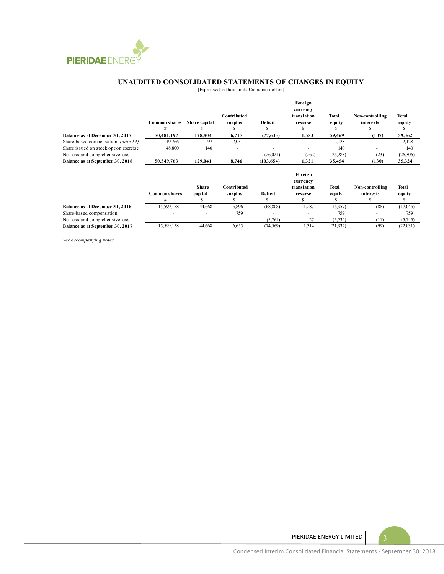

#### **UNAUDITED CONSOLIDATED STATEMENTS OF CHANGES IN EQUITY**

[Expressed in thousands Canadian dollars]

|                                       | <b>Common shares</b> | Share capital | Contributed<br>surplus | Deficit    | Foreign<br>currency<br>translation<br>reserve | Total<br>equity | Non-controlling<br>interests | <b>Total</b><br>equity |
|---------------------------------------|----------------------|---------------|------------------------|------------|-----------------------------------------------|-----------------|------------------------------|------------------------|
| Balance as at December 31, 2017       | 50,481,197           | 128,804       | 6,715                  | (77, 633)  | 1,583                                         | 59,469          | (107)                        | 59,362                 |
| Share-based compensation [note 14]    | 19,766               | 97            | 2,031                  |            | ٠                                             | 2,128           |                              | 2,128                  |
| Share issued on stock option exercise | 48,800               | 140           | ٠                      |            |                                               | 140             |                              | 140                    |
| Net loss and comprehensive loss       |                      | ٠             | ۰                      | (26,021)   | (262)                                         | (26, 283)       | (23)                         | (26,306)               |
| Balance as at September 30, 2018      | 50,549,763           | 129,041       | 8,746                  | (103, 654) | 1,321                                         | 35,454          | (130)                        | 35,324                 |
|                                       |                      | <b>Share</b>  | Contributed            |            | Foreign<br>currency<br>translation            | <b>Total</b>    | Non-controlling              | <b>Total</b>           |
|                                       | <b>Common shares</b> | capital       | surplus                | Deficit    | reserve                                       | equity          | interests                    | equity                 |
|                                       | #                    |               |                        |            | э                                             |                 |                              |                        |
| Balance as at December 31, 2016       | 15,599,158           | 44,668        | 5,896                  | (68, 808)  | 1,287                                         | (16,957)        | (88)                         | (17,045)               |
|                                       |                      |               | $- - \wedge$           |            |                                               | $- - \wedge$    |                              | $- - \wedge$           |

Share-based compensation - - 759 - 759 - 759 - 759 - 759 - 759 - 759 - 759 - 759 - 759 - 759 - 759 - 759 - 759 - 759 - 759 - 759 - 759 - 759 - 759 - 759 - 759 - 759 - 759 - 759 - 759 - 759 - 759 - 759 - 759 - 759 - 759 - 7 Net loss and comprehensive loss - - - (5,761) 27 (5,734) (11) (5,745) **Balance as at September 30, 2017** 15,599,158 44,668 6,655 (74,569) 1,314 (21,932) (99) (22,031)

*See accompanying notes*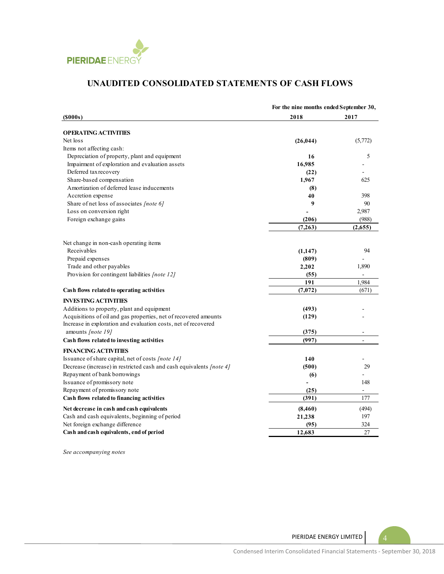

# **UNAUDITED CONSOLIDATED STATEMENTS OF CASH FLOWS**

|                                                                      | For the nine months ended September 30, |         |  |
|----------------------------------------------------------------------|-----------------------------------------|---------|--|
| (S000s)                                                              | 2018                                    | 2017    |  |
| <b>OPERATING ACTIVITIES</b>                                          |                                         |         |  |
| Net loss                                                             | (26, 044)                               | (5,772) |  |
| Items not affecting cash:                                            |                                         |         |  |
| Depreciation of property, plant and equipment                        | 16                                      | 5       |  |
| Impairment of exploration and evaluation assets                      | 16,985                                  |         |  |
| Deferred tax recovery                                                | (22)                                    |         |  |
| Share-based compensation                                             | 1,967                                   | 625     |  |
| Amortization of deferred lease inducements                           | (8)                                     |         |  |
| Accretion expense                                                    | 40                                      | 398     |  |
| Share of net loss of associates [note 6]                             | 9                                       | 90      |  |
| Loss on conversion right                                             |                                         | 2,987   |  |
| Foreign exchange gains                                               | (206)                                   | (988)   |  |
|                                                                      | (7,263)                                 | (2,655) |  |
|                                                                      |                                         |         |  |
| Net change in non-cash operating items                               |                                         |         |  |
| Receivables                                                          | (1,147)                                 | 94      |  |
| Prepaid expenses                                                     | (809)                                   |         |  |
| Trade and other payables                                             | 2,202                                   | 1,890   |  |
| Provision for contingent liabilities [note 12]                       | (55)                                    |         |  |
|                                                                      | 191                                     | 1,984   |  |
| Cash flows related to operating activities                           | (7,072)                                 | (671)   |  |
| <b>INVESTING ACTIVITIES</b>                                          |                                         |         |  |
| Additions to property, plant and equipment                           | (493)                                   |         |  |
| Acquisitions of oil and gas properties, net of recovered amounts     | (129)                                   |         |  |
| Increase in exploration and evaluation costs, net of recovered       |                                         |         |  |
| amounts [note 19]                                                    | (375)                                   |         |  |
| Cash flows related to investing activities                           | (997)                                   | L.      |  |
| <b>FINANCING ACTIVITIES</b>                                          |                                         |         |  |
| Issuance of share capital, net of costs [note 14]                    | 140                                     |         |  |
| Decrease (increase) in restricted cash and cash equivalents [note 4] | (500)                                   | 29      |  |
| Repayment of bank borrowings                                         | (6)                                     |         |  |
| Issuance of promissory note                                          |                                         | 148     |  |
| Repayment of promissory note                                         | (25)                                    | ÷,      |  |
| Cash flows related to financing activities                           | (391)                                   | 177     |  |
| Net decrease in cash and cash equivalents                            | (8,460)                                 | (494)   |  |
| Cash and cash equivalents, beginning of period                       | 21,238                                  | 197     |  |
| Net foreign exchange difference                                      | (95)                                    | 324     |  |
| Cash and cash equivalents, end of period                             | 12.683                                  | 27      |  |

*See accompanying notes*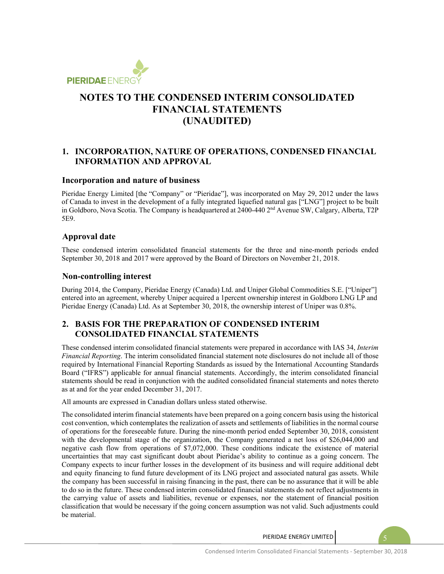

### **1. INCORPORATION, NATURE OF OPERATIONS, CONDENSED FINANCIAL INFORMATION AND APPROVAL**

#### **Incorporation and nature of business**

Pieridae Energy Limited [the "Company" or "Pieridae"], was incorporated on May 29, 2012 under the laws of Canada to invest in the development of a fully integrated liquefied natural gas ["LNG"] project to be built in Goldboro, Nova Scotia. The Company is headquartered at 2400-440 2nd Avenue SW, Calgary, Alberta, T2P 5E9.

#### **Approval date**

These condensed interim consolidated financial statements for the three and nine-month periods ended September 30, 2018 and 2017 were approved by the Board of Directors on November 21, 2018.

#### **Non-controlling interest**

During 2014, the Company, Pieridae Energy (Canada) Ltd. and Uniper Global Commodities S.E. ["Uniper"] entered into an agreement, whereby Uniper acquired a 1percent ownership interest in Goldboro LNG LP and Pieridae Energy (Canada) Ltd. As at September 30, 2018, the ownership interest of Uniper was 0.8%.

### **2. BASIS FOR THE PREPARATION OF CONDENSED INTERIM CONSOLIDATED FINANCIAL STATEMENTS**

These condensed interim consolidated financial statements were prepared in accordance with IAS 34, *Interim Financial Reporting*. The interim consolidated financial statement note disclosures do not include all of those required by International Financial Reporting Standards as issued by the International Accounting Standards Board ("IFRS") applicable for annual financial statements. Accordingly, the interim consolidated financial statements should be read in conjunction with the audited consolidated financial statements and notes thereto as at and for the year ended December 31, 2017.

All amounts are expressed in Canadian dollars unless stated otherwise.

The consolidated interim financial statements have been prepared on a going concern basis using the historical cost convention, which contemplates the realization of assets and settlements of liabilities in the normal course of operations for the foreseeable future. During the nine-month period ended September 30, 2018, consistent with the developmental stage of the organization, the Company generated a net loss of \$26,044,000 and negative cash flow from operations of \$7,072,000. These conditions indicate the existence of material uncertainties that may cast significant doubt about Pieridae's ability to continue as a going concern. The Company expects to incur further losses in the development of its business and will require additional debt and equity financing to fund future development of its LNG project and associated natural gas assets. While the company has been successful in raising financing in the past, there can be no assurance that it will be able to do so in the future. These condensed interim consolidated financial statements do not reflect adjustments in the carrying value of assets and liabilities, revenue or expenses, nor the statement of financial position classification that would be necessary if the going concern assumption was not valid. Such adjustments could be material.

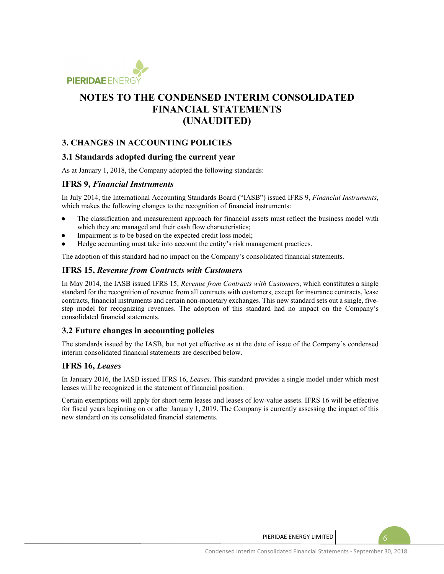

## **3. CHANGES IN ACCOUNTING POLICIES**

### **3.1 Standards adopted during the current year**

As at January 1, 2018, the Company adopted the following standards:

#### **IFRS 9,** *Financial Instruments*

In July 2014, the International Accounting Standards Board ("IASB") issued IFRS 9, *Financial Instruments*, which makes the following changes to the recognition of financial instruments:

- The classification and measurement approach for financial assets must reflect the business model with which they are managed and their cash flow characteristics;
- Impairment is to be based on the expected credit loss model;
- Hedge accounting must take into account the entity's risk management practices.

The adoption of this standard had no impact on the Company's consolidated financial statements.

### **IFRS 15,** *Revenue from Contracts with Customers*

In May 2014, the IASB issued IFRS 15, *Revenue from Contracts with Customers*, which constitutes a single standard for the recognition of revenue from all contracts with customers, except for insurance contracts, lease contracts, financial instruments and certain non-monetary exchanges. This new standard sets out a single, fivestep model for recognizing revenues. The adoption of this standard had no impact on the Company's consolidated financial statements.

### **3.2 Future changes in accounting policies**

The standards issued by the IASB, but not yet effective as at the date of issue of the Company's condensed interim consolidated financial statements are described below.

#### **IFRS 16,** *Leases*

In January 2016, the IASB issued IFRS 16, *Leases*. This standard provides a single model under which most leases will be recognized in the statement of financial position.

Certain exemptions will apply for short-term leases and leases of low-value assets. IFRS 16 will be effective for fiscal years beginning on or after January 1, 2019. The Company is currently assessing the impact of this new standard on its consolidated financial statements.

PIERIDAE ENERGY LIMITED  $\begin{pmatrix} 6 \end{pmatrix}$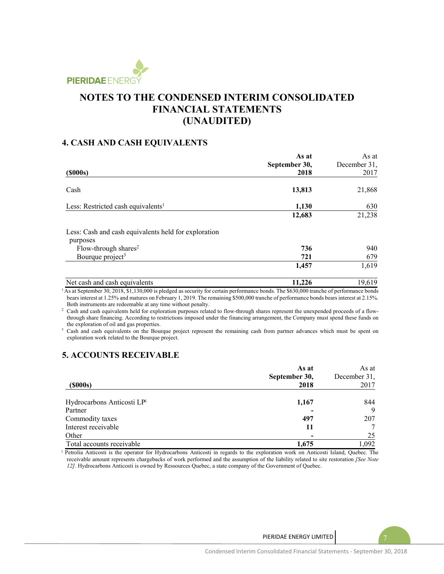

### **4. CASH AND CASH EQUIVALENTS**

|                                                      | As at         | As at        |
|------------------------------------------------------|---------------|--------------|
|                                                      | September 30, | December 31, |
| $($ \$000s $)$                                       | 2018          | 2017         |
| Cash                                                 | 13,813        | 21,868       |
| Less: Restricted cash equivalents <sup>1</sup>       | 1,130         | 630          |
|                                                      | 12,683        | 21,238       |
| Less: Cash and cash equivalents held for exploration |               |              |
| purposes<br>Flow-through shares <sup>2</sup>         | 736           | 940          |
| Bourque project <sup>3</sup>                         | 721           | 679          |
|                                                      | 1,457         | 1,619        |
| Net cash and cash equivalents                        | 11,226        | 19,619       |

<sup>1</sup> As at September 30, 2018, \$1,130,000 is pledged as security for certain performance bonds. The \$630,000 tranche of performance bonds bears interest at 1.25% and matures on February 1, 2019. The remaining \$500,000 tranche of performance bonds bears interest at 2.15%. Both instruments are redeemable at any time without penalty. 2

<sup>2</sup> Cash and cash equivalents held for exploration purposes related to flow-through shares represent the unexpended proceeds of a flowthrough share financing. According to restrictions imposed under the financing arrangement, the Company must spend these funds on the exploration of oil and gas properties.

<sup>3</sup> Cash and cash equivalents on the Bourque project represent the remaining cash from partner advances which must be spent on exploration work related to the Bourque project.

# **5. ACCOUNTS RECEIVABLE**

|                            | As at         | As at        |  |
|----------------------------|---------------|--------------|--|
|                            | September 30, | December 31, |  |
| (S000s)                    | 2018          | 2017         |  |
| Hydrocarbons Anticosti LPI | 1,167         | 844          |  |
| Partner                    |               | 9            |  |
| Commodity taxes            | 497           | 207          |  |
| Interest receivable        | 11            |              |  |
| Other                      |               | 25           |  |
| Total accounts receivable  | 1,675         | 1,092        |  |

<sup>1</sup> Petrolia Anticosti is the operator for Hydrocarbons Anticosti in regards to the exploration work on Anticosti Island, Quebec. The receivable amount represents chargebacks of work performed and the assumption of the liability related to site restoration *[See Note 12].* Hydrocarbons Anticosti is owned by Ressources Quebec, a state company of the Government of Quebec.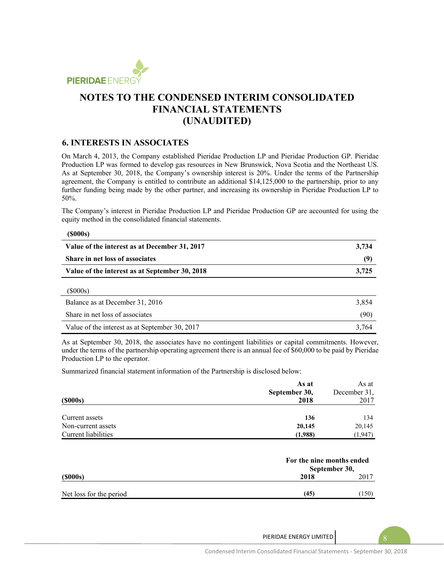

### **6. INTERESTS IN ASSOCIATES**

On March 4, 2013, the Company established Pieridae Production LP and Pieridae Production GP. Pieridae Production LP was formed to develop gas resources in New Brunswick, Nova Scotia and the Northeast US. As at September 30, 2018, the Company's ownership interest is 20%. Under the terms of the Partnership agreement, the Company is entitled to contribute an additional \$14,125,000 to the partnership, prior to any further funding being made by the other partner, and increasing its ownership in Pieridae Production LP to 50%.

The Company's interest in Pieridae Production LP and Pieridae Production GP are accounted for using the equity method in the consolidated financial statements.

#### **(\$000s)**

| Value of the interest as at December 31, 2017  | 3,734 |
|------------------------------------------------|-------|
| <b>Share in net loss of associates</b>         | (9)   |
| Value of the interest as at September 30, 2018 | 3.725 |
| (S000s)                                        |       |

| Balance as at December 31, 2016                | 3.854 |
|------------------------------------------------|-------|
| Share in net loss of associates                | (90)  |
| Value of the interest as at September 30, 2017 | 3.764 |

As at September 30, 2018, the associates have no contingent liabilities or capital commitments. However, under the terms of the partnership operating agreement there is an annual fee of \$60,000 to be paid by Pieridae Production LP to the operator.

Summarized financial statement information of the Partnership is disclosed below:

|                     | As at         | As at        |
|---------------------|---------------|--------------|
|                     | September 30, | December 31, |
| $($ \$000s $)$      | 2018          | 2017         |
| Current assets      | 136           | 134          |
| Non-current assets  | 20,145        | 20,145       |
| Current liabilities | (1,988)       | (1, 947)     |

|                         | For the nine months ended<br>September 30, |       |
|-------------------------|--------------------------------------------|-------|
| (S000s)                 | 2018                                       | 2017  |
| Net loss for the period | (45)                                       | (150) |

PIERIDAE ENERGY LIMITED 8

Condensed Interim Consolidated Financial Statements ‐ September 30, 2018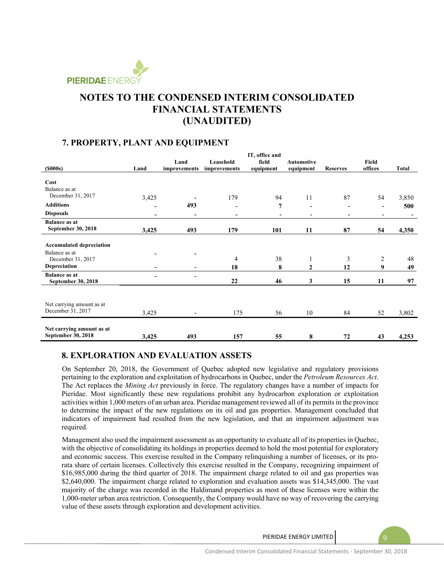

### **7. PROPERTY, PLANT AND EQUIPMENT**

|                                 |                          |                              |                          | IT, office and           |                          |                          |                          |       |
|---------------------------------|--------------------------|------------------------------|--------------------------|--------------------------|--------------------------|--------------------------|--------------------------|-------|
|                                 |                          | Land                         | Leasehold                | field                    | <b>Automotive</b>        |                          | Field                    |       |
| (5000s)                         | Land                     | improvements                 | improvements             | equipment                | equipment                | <b>Reserves</b>          | offices                  | Total |
|                                 |                          |                              |                          |                          |                          |                          |                          |       |
| Cost                            |                          |                              |                          |                          |                          |                          |                          |       |
| Balance as at                   |                          |                              |                          |                          |                          |                          |                          |       |
| December 31, 2017               | 3,425                    |                              | 179                      | 94                       | 11                       | 87                       | 54                       | 3,850 |
| <b>Additions</b>                |                          | 493                          |                          | 7                        | $\overline{\phantom{0}}$ | ۰                        | $\overline{\phantom{a}}$ | 500   |
| <b>Disposals</b>                | $\overline{\phantom{a}}$ | $\qquad \qquad \blacksquare$ | $\overline{\phantom{a}}$ | $\overline{\phantom{a}}$ | ۰                        | $\overline{\phantom{a}}$ | $\overline{\phantom{a}}$ |       |
| <b>Balance as at</b>            |                          |                              |                          |                          |                          |                          |                          |       |
| September 30, 2018              | 3,425                    | 493                          | 179                      | 101                      | 11                       | 87                       | 54                       | 4,350 |
|                                 |                          |                              |                          |                          |                          |                          |                          |       |
| <b>Accumulated depreciation</b> |                          |                              |                          |                          |                          |                          |                          |       |
| Balance as at                   |                          |                              |                          |                          |                          |                          |                          |       |
| December 31, 2017               |                          |                              | $\overline{4}$           | 38                       | $\mathbf{1}$             | 3                        | 2                        | 48    |
| <b>Depreciation</b>             |                          |                              | 18                       | 8                        | $\mathbf{2}$             | 12                       | 9                        | 49    |
| <b>Balance as at</b>            |                          | $\overline{\phantom{a}}$     |                          |                          |                          |                          |                          |       |
| September 30, 2018              |                          |                              | 22                       | 46                       | 3                        | 15                       | 11                       | 97    |
|                                 |                          |                              |                          |                          |                          |                          |                          |       |
| Net carrying amount as at       |                          |                              |                          |                          |                          |                          |                          |       |
| December 31, 2017               |                          |                              |                          |                          |                          |                          |                          |       |
|                                 | 3,425                    | $\overline{\phantom{a}}$     | 175                      | 56                       | 10                       | 84                       | 52                       | 3,802 |
|                                 |                          |                              |                          |                          |                          |                          |                          |       |
| Net carrying amount as at       |                          |                              |                          |                          |                          |                          |                          |       |
| September 30, 2018              | 3,425                    | 493                          | 157                      | 55                       | 8                        | 72                       | 43                       | 4,253 |

### **8. EXPLORATION AND EVALUATION ASSETS**

On September 20, 2018, the Government of Quebec adopted new legislative and regulatory provisions pertaining to the exploration and exploitation of hydrocarbons in Quebec, under the *Petroleum Resources Act*. The Act replaces the *Mining Act* previously in force. The regulatory changes have a number of impacts for Pieridae. Most significantly these new regulations prohibit any hydrocarbon exploration or exploitation activities within 1,000 meters of an urban area. Pieridae management reviewed all of its permits in the province to determine the impact of the new regulations on its oil and gas properties. Management concluded that indicators of impairment had resulted from the new legislation, and that an impairment adjustment was required.

Management also used the impairment assessment as an opportunity to evaluate all of its properties in Quebec, with the objective of consolidating its holdings in properties deemed to hold the most potential for exploratory and economic success. This exercise resulted in the Company relinquishing a number of licenses, or its prorata share of certain licenses. Collectively this exercise resulted in the Company, recognizing impairment of \$16,985,000 during the third quarter of 2018. The impairment charge related to oil and gas properties was \$2,640,000. The impairment charge related to exploration and evaluation assets was \$14,345,000. The vast majority of the charge was recorded in the Haldimand properties as most of these licenses were within the 1,000-meter urban area restriction. Consequently, the Company would have no way of recovering the carrying value of these assets through exploration and development activities.

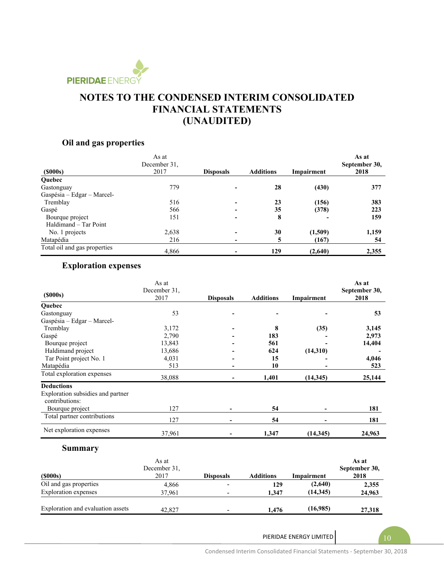

# **Oil and gas properties**

| $($ \$000s $)$               | As at<br>December 31,<br>2017 | <b>Disposals</b>         | <b>Additions</b> | Impairment | As at<br>September 30,<br>2018 |
|------------------------------|-------------------------------|--------------------------|------------------|------------|--------------------------------|
| <b>Ouebec</b>                |                               |                          |                  |            |                                |
| Gastonguay                   | 779                           |                          | 28               | (430)      | 377                            |
| Gaspésia - Edgar - Marcel-   |                               |                          |                  |            |                                |
| Tremblay                     | 516                           |                          | 23               | (156)      | 383                            |
| Gaspé                        | 566                           | $\overline{\phantom{0}}$ | 35               | (378)      | 223                            |
| Bourque project              | 151                           |                          | 8                |            | 159                            |
| Haldimand - Tar Point        |                               |                          |                  |            |                                |
| No. 1 projects               | 2,638                         |                          | 30               | (1,509)    | 1,159                          |
| Matapédia                    | 216                           | $\overline{\phantom{a}}$ | 5                | (167)      | 54                             |
| Total oil and gas properties | 4,866                         |                          | 129              | (2,640)    | 2,355                          |

# **Exploration expenses**

| As at<br>December 31, |      |                  |                  | As at<br>September 30, |
|-----------------------|------|------------------|------------------|------------------------|
|                       |      |                  |                  | 2018                   |
|                       |      |                  |                  |                        |
| 53                    |      |                  |                  | 53                     |
|                       |      |                  |                  |                        |
| 3,172                 |      | 8                | (35)             | 3,145                  |
| 2,790                 |      | 183              |                  | 2,973                  |
| 13,843                |      | 561              |                  | 14,404                 |
| 13,686                |      | 624              |                  |                        |
| 4,031                 |      | 15               |                  | 4,046                  |
| 513                   |      | 10               |                  | 523                    |
| 38,088                |      | 1,401            | (14, 345)        | 25,144                 |
|                       |      |                  |                  |                        |
|                       |      |                  |                  |                        |
| 127                   |      | 54               |                  | 181                    |
| 127                   |      | 54               |                  | 181                    |
| 37,961                |      | 1,347            | (14, 345)        | 24,963                 |
|                       | 2017 | <b>Disposals</b> | <b>Additions</b> | Impairment<br>(14,310) |

# **Summary**

| $($ \$000s $)$                    | As at<br>December 31,<br>2017 | <b>Disposals</b> | <b>Additions</b> | Impairment | As at<br>September 30,<br>2018 |
|-----------------------------------|-------------------------------|------------------|------------------|------------|--------------------------------|
| Oil and gas properties            | 4,866                         |                  | 129              | (2,640)    | 2,355                          |
| Exploration expenses              | 37.961                        |                  | 1.347            | (14.345)   | 24,963                         |
| Exploration and evaluation assets | 42,827                        |                  | 1.476            | (16,985)   | 27,318                         |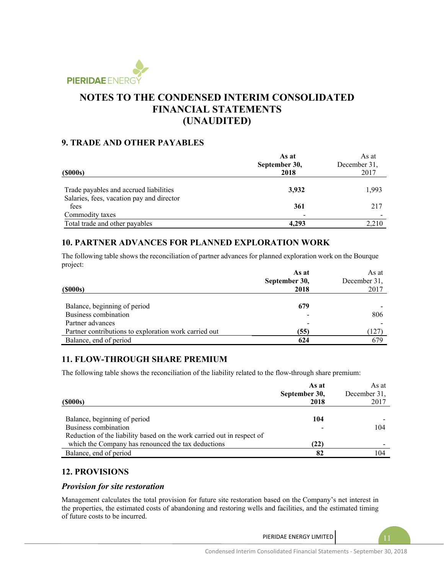

### **9. TRADE AND OTHER PAYABLES**

|                                           | As at         | As at        |
|-------------------------------------------|---------------|--------------|
|                                           | September 30, | December 31, |
| $($ \$000s $)$                            | 2018          | 2017         |
|                                           |               |              |
| Trade payables and accrued liabilities    | 3,932         | 1,993        |
| Salaries, fees, vacation pay and director |               |              |
| fees                                      | 361           | 217          |
| Commodity taxes                           |               |              |
| Total trade and other payables            | 4.293         | 2.210        |

### **10. PARTNER ADVANCES FOR PLANNED EXPLORATION WORK**

The following table shows the reconciliation of partner advances for planned exploration work on the Bourque project:

|                                                       | As at         | As at        |
|-------------------------------------------------------|---------------|--------------|
|                                                       | September 30, | December 31, |
| (S000s)                                               | 2018          | 2017         |
|                                                       |               |              |
| Balance, beginning of period                          | 679           |              |
| Business combination                                  |               | 806          |
| Partner advances                                      |               |              |
| Partner contributions to exploration work carried out | (55)          | 127          |
| Balance, end of period                                | 624           | 679          |

### **11. FLOW-THROUGH SHARE PREMIUM**

The following table shows the reconciliation of the liability related to the flow-through share premium:

| $($ \$000s $)$                                                         | As at<br>September 30,<br>2018 | As at<br>December 31.<br>2017 |
|------------------------------------------------------------------------|--------------------------------|-------------------------------|
| Balance, beginning of period                                           | 104                            |                               |
| Business combination                                                   |                                | 104                           |
| Reduction of the liability based on the work carried out in respect of |                                |                               |
| which the Company has renounced the tax deductions                     | (22)                           |                               |
| Balance, end of period                                                 | 82                             | 104                           |

### **12. PROVISIONS**

#### *Provision for site restoration*

Management calculates the total provision for future site restoration based on the Company's net interest in the properties, the estimated costs of abandoning and restoring wells and facilities, and the estimated timing of future costs to be incurred.

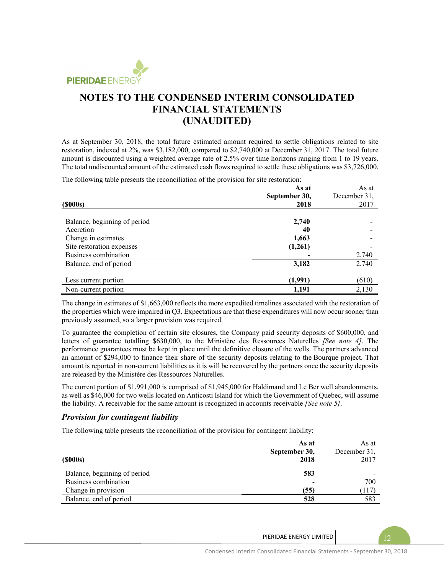

As at September 30, 2018, the total future estimated amount required to settle obligations related to site restoration, indexed at 2%, was \$3,182,000, compared to \$2,740,000 at December 31, 2017. The total future amount is discounted using a weighted average rate of 2.5% over time horizons ranging from 1 to 19 years. The total undiscounted amount of the estimated cash flows required to settle these obligations was \$3,726,000.

The following table presents the reconciliation of the provision for site restoration:

|                              | As at         | As at                |  |
|------------------------------|---------------|----------------------|--|
|                              | September 30, | December 31,<br>2017 |  |
| $($ \$000s $)$               | 2018          |                      |  |
|                              |               |                      |  |
| Balance, beginning of period | 2,740         |                      |  |
| Accretion                    | 40            |                      |  |
| Change in estimates          | 1,663         |                      |  |
| Site restoration expenses    | (1,261)       |                      |  |
| Business combination         |               | 2,740                |  |
| Balance, end of period       | 3,182         | 2,740                |  |
| Less current portion         | (1,991)       | (610)                |  |
| Non-current portion          | 1,191         | 2,130                |  |

The change in estimates of \$1,663,000 reflects the more expedited timelines associated with the restoration of the properties which were impaired in Q3. Expectations are that these expenditures will now occur sooner than previously assumed, so a larger provision was required.

To guarantee the completion of certain site closures, the Company paid security deposits of \$600,000, and letters of guarantee totalling \$630,000, to the Ministère des Ressources Naturelles *[See note 4]*. The performance guarantees must be kept in place until the definitive closure of the wells. The partners advanced an amount of \$294,000 to finance their share of the security deposits relating to the Bourque project. That amount is reported in non-current liabilities as it is will be recovered by the partners once the security deposits are released by the Ministère des Ressources Naturelles.

The current portion of \$1,991,000 is comprised of \$1,945,000 for Haldimand and Le Ber well abandonments, as well as \$46,000 for two wells located on Anticosti Island for which the Government of Quebec, will assume the liability. A receivable for the same amount is recognized in accounts receivable *[See note 5]*.

#### *Provision for contingent liability*

The following table presents the reconciliation of the provision for contingent liability:

|                              | As at         | As at        |
|------------------------------|---------------|--------------|
|                              | September 30, | December 31, |
| $($ \$000s $)$               | 2018          | 2017         |
| Balance, beginning of period | 583           |              |
| Business combination         |               | 700          |
| Change in provision          | (55)          | 117          |
| Balance, end of period       | 528           | 583          |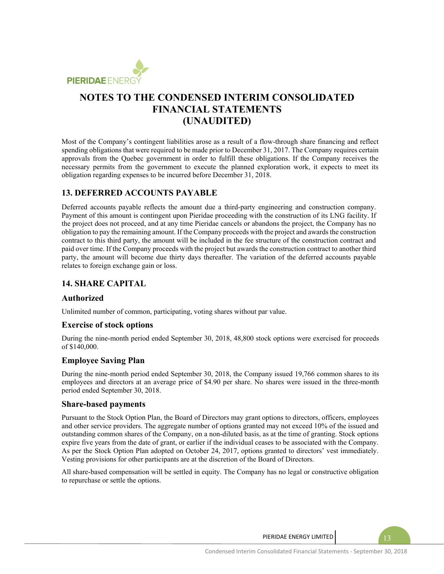

Most of the Company's contingent liabilities arose as a result of a flow-through share financing and reflect spending obligations that were required to be made prior to December 31, 2017. The Company requires certain approvals from the Quebec government in order to fulfill these obligations. If the Company receives the necessary permits from the government to execute the planned exploration work, it expects to meet its obligation regarding expenses to be incurred before December 31, 2018.

### **13. DEFERRED ACCOUNTS PAYABLE**

Deferred accounts payable reflects the amount due a third-party engineering and construction company. Payment of this amount is contingent upon Pieridae proceeding with the construction of its LNG facility. If the project does not proceed, and at any time Pieridae cancels or abandons the project, the Company has no obligation to pay the remaining amount. If the Company proceeds with the project and awards the construction contract to this third party, the amount will be included in the fee structure of the construction contract and paid over time. If the Company proceeds with the project but awards the construction contract to another third party, the amount will become due thirty days thereafter. The variation of the deferred accounts payable relates to foreign exchange gain or loss.

### **14. SHARE CAPITAL**

#### **Authorized**

Unlimited number of common, participating, voting shares without par value.

#### **Exercise of stock options**

During the nine-month period ended September 30, 2018, 48,800 stock options were exercised for proceeds of \$140,000.

#### **Employee Saving Plan**

During the nine-month period ended September 30, 2018, the Company issued 19,766 common shares to its employees and directors at an average price of \$4.90 per share. No shares were issued in the three-month period ended September 30, 2018.

#### **Share-based payments**

Pursuant to the Stock Option Plan, the Board of Directors may grant options to directors, officers, employees and other service providers. The aggregate number of options granted may not exceed 10% of the issued and outstanding common shares of the Company, on a non-diluted basis, as at the time of granting. Stock options expire five years from the date of grant, or earlier if the individual ceases to be associated with the Company. As per the Stock Option Plan adopted on October 24, 2017, options granted to directors' vest immediately. Vesting provisions for other participants are at the discretion of the Board of Directors.

All share-based compensation will be settled in equity. The Company has no legal or constructive obligation to repurchase or settle the options.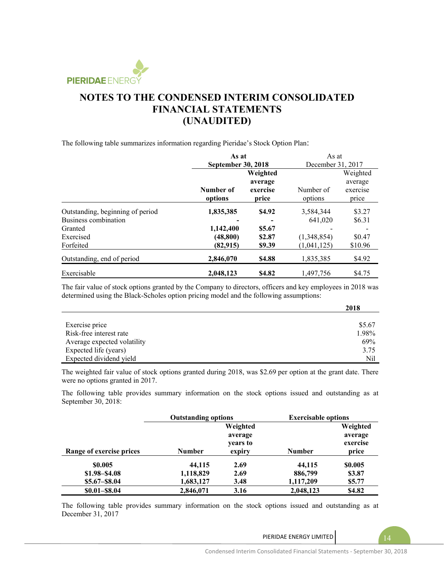

The following table summarizes information regarding Pieridae's Stock Option Plan:

|                                  | As at              |          | As at             |          |
|----------------------------------|--------------------|----------|-------------------|----------|
|                                  | September 30, 2018 |          | December 31, 2017 |          |
|                                  |                    | Weighted |                   | Weighted |
|                                  |                    | average  |                   | average  |
|                                  | Number of          | exercise | Number of         | exercise |
|                                  | options            | price    | options           | price    |
| Outstanding, beginning of period | 1,835,385          | \$4.92   | 3,584,344         | \$3.27   |
| Business combination             |                    |          | 641,020           | \$6.31   |
| Granted                          | 1,142,400          | \$5.67   |                   |          |
| Exercised                        | (48, 800)          | \$2.87   | (1,348,854)       | \$0.47   |
| Forfeited                        | (82,915)           | \$9.39   | (1,041,125)       | \$10.96  |
| Outstanding, end of period       | 2,846,070          | \$4.88   | 1,835,385         | \$4.92   |
| Exercisable                      | 2,048,123          | \$4.82   | 1,497,756         | \$4.75   |

The fair value of stock options granted by the Company to directors, officers and key employees in 2018 was determined using the Black-Scholes option pricing model and the following assumptions:

|                             | 2018   |
|-----------------------------|--------|
|                             |        |
| Exercise price              | \$5.67 |
| Risk-free interest rate     | 1.98%  |
| Average expected volatility | 69%    |
| Expected life (years)       | 3.75   |
| Expected dividend yield     | Nil    |

The weighted fair value of stock options granted during 2018, was \$2.69 per option at the grant date. There were no options granted in 2017.

The following table provides summary information on the stock options issued and outstanding as at September 30, 2018:

|                          | <b>Outstanding options</b> |          | <b>Exercisable options</b> |          |
|--------------------------|----------------------------|----------|----------------------------|----------|
|                          |                            | Weighted |                            | Weighted |
|                          |                            | average  |                            | average  |
|                          |                            | years to |                            | exercise |
| Range of exercise prices | <b>Number</b>              | expiry   | <b>Number</b>              | price    |
| \$0.005                  | 44,115                     | 2.69     | 44,115                     | \$0.005  |
| $$1.98 - $4.08$          | 1,118,829                  | 2.69     | 886,799                    | \$3.87   |
| $$5.67 - $8.04$          | 1,683,127                  | 3.48     | 1,117,209                  | \$5.77   |
| $$0.01 - $8.04$          | 2,846,071                  | 3.16     | 2,048,123                  | \$4.82   |

The following table provides summary information on the stock options issued and outstanding as at December 31, 2017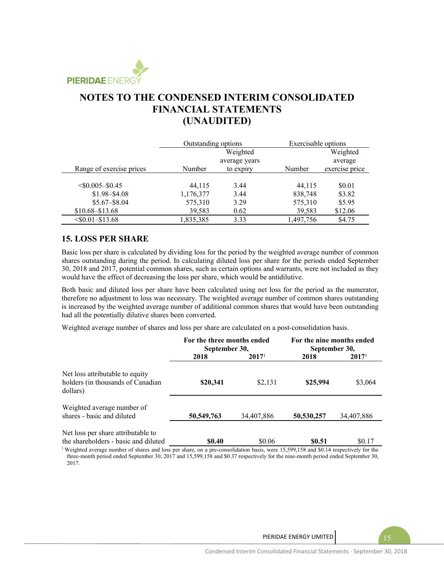

|                          | Outstanding options |               | Exercisable options |                |
|--------------------------|---------------------|---------------|---------------------|----------------|
|                          | Weighted            |               |                     | Weighted       |
|                          |                     | average years |                     | average        |
| Range of exercise prices | Number              | to expiry     | Number              | exercise price |
|                          |                     |               |                     |                |
| $<$ \$0.005–\$0.45       | 44.115              | 3.44          | 44,115              | \$0.01         |
| $$1.98 - $4.08$          | 1,176,377           | 3.44          | 838,748             | \$3.82         |
| $$5.67 - $8.04$          | 575,310             | 3.29          | 575,310             | \$5.95         |
| $$10.68 - $13.68$        | 39,583              | 0.62          | 39,583              | \$12.06        |
| $<$ \$0.01–\$13.68       | 1,835,385           | 3.33          | 1,497,756           | \$4.75         |

### **15. LOSS PER SHARE**

Basic loss per share is calculated by dividing loss for the period by the weighted average number of common shares outstanding during the period. In calculating diluted loss per share for the periods ended September 30, 2018 and 2017, potential common shares, such as certain options and warrants, were not included as they would have the effect of decreasing the loss per share, which would be antidilutive.

Both basic and diluted loss per share have been calculated using net loss for the period as the numerator, therefore no adjustment to loss was necessary. The weighted average number of common shares outstanding is increased by the weighted average number of additional common shares that would have been outstanding had all the potentially dilutive shares been converted.

Weighted average number of shares and loss per share are calculated on a post-consolidation basis.

|                                                                                  | For the three months ended<br>September 30, |                   | For the nine months ended<br>September 30, |                   |
|----------------------------------------------------------------------------------|---------------------------------------------|-------------------|--------------------------------------------|-------------------|
|                                                                                  | 2018                                        | 2017 <sup>1</sup> | 2018                                       | 2017 <sup>1</sup> |
| Net loss attributable to equity<br>holders (in thousands of Canadian<br>dollars) | \$20,341                                    | \$2,131           | \$25,994                                   | \$3,064           |
| Weighted average number of<br>shares - basic and diluted                         | 50,549,763                                  | 34,407,886        | 50,530,257                                 | 34,407,886        |
| Net loss per share attributable to<br>the shareholders - basic and diluted       | <b>SO.40</b>                                | \$0.06            | <b>SO.51</b>                               | \$0.17            |

<sup>1</sup>Weighted average number of shares and loss per share, on a pre-consolidation basis, were 15,599,158 and \$0.14 respectively for the three-month period ended September 30, 2017 and 15,599,158 and \$0.37 respectively for the nine-month period ended September 30, 2017.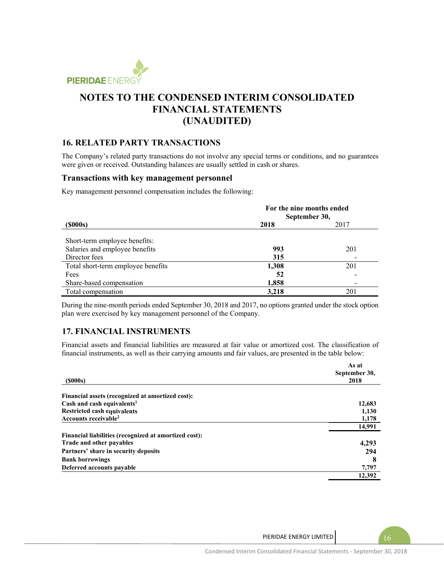

### **16. RELATED PARTY TRANSACTIONS**

The Company's related party transactions do not involve any special terms or conditions, and no guarantees were given or received. Outstanding balances are usually settled in cash or shares.

#### **Transactions with key management personnel**

Key management personnel compensation includes the following:

|                                    | For the nine months ended<br>September 30, |      |
|------------------------------------|--------------------------------------------|------|
| $($ \$000s $)$                     | 2018                                       | 2017 |
| Short-term employee benefits:      |                                            |      |
| Salaries and employee benefits     | 993                                        | 201  |
| Director fees                      | 315                                        |      |
| Total short-term employee benefits | 1,308                                      | 201  |
| Fees                               | 52                                         |      |
| Share-based compensation           | 1,858                                      |      |
| Total compensation                 | 3,218                                      | 201  |

During the nine-month periods ended September 30, 2018 and 2017, no options granted under the stock option plan were exercised by key management personnel of the Company.

### **17. FINANCIAL INSTRUMENTS**

Financial assets and financial liabilities are measured at fair value or amortized cost. The classification of financial instruments, as well as their carrying amounts and fair values, are presented in the table below:

|                                                       | As at         |  |
|-------------------------------------------------------|---------------|--|
|                                                       | September 30, |  |
| $($ \$000s $)$                                        | 2018          |  |
|                                                       |               |  |
| Financial assets (recognized at amortized cost):      |               |  |
| Cash and cash equivalents <sup>1</sup>                | 12,683        |  |
| <b>Restricted cash equivalents</b>                    | 1,130         |  |
| Accounts receivable <sup>2</sup>                      | 1,178         |  |
|                                                       | 14,991        |  |
| Financial liabilities (recognized at amortized cost): |               |  |
| Trade and other payables                              | 4,293         |  |
| Partners' share in security deposits                  | 294           |  |
| <b>Bank borrowings</b>                                | 8             |  |
| Deferred accounts payable                             | 7,797         |  |
|                                                       | 12,392        |  |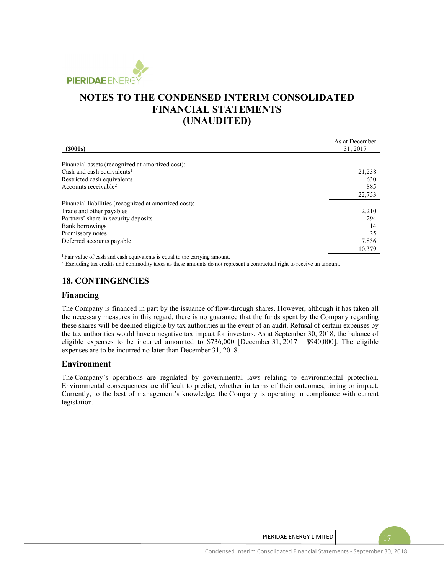

| $($ \$000s $)$                                        | As at December<br>31, 2017 |
|-------------------------------------------------------|----------------------------|
|                                                       |                            |
| Financial assets (recognized at amortized cost):      |                            |
| Cash and cash equivalents <sup>1</sup>                | 21,238                     |
| Restricted cash equivalents                           | 630                        |
| Accounts receivable <sup>2</sup>                      | 885                        |
|                                                       | 22,753                     |
| Financial liabilities (recognized at amortized cost): |                            |
| Trade and other payables                              | 2,210                      |
| Partners' share in security deposits                  | 294                        |
| Bank borrowings                                       | 14                         |
| Promissory notes                                      | 25                         |
| Deferred accounts payable                             | 7,836                      |
|                                                       | 10.379                     |

<sup>1</sup> Fair value of cash and cash equivalents is equal to the carrying amount.<br><sup>2</sup> Excluding tax credits and commodity taxes as these amounts do not represent a contractual right to receive an amount.

### **18. CONTINGENCIES**

#### **Financing**

The Company is financed in part by the issuance of flow-through shares. However, although it has taken all the necessary measures in this regard, there is no guarantee that the funds spent by the Company regarding these shares will be deemed eligible by tax authorities in the event of an audit. Refusal of certain expenses by the tax authorities would have a negative tax impact for investors. As at September 30, 2018, the balance of eligible expenses to be incurred amounted to \$736,000 [December 31, 2017 – \$940,000]. The eligible expenses are to be incurred no later than December 31, 2018.

#### **Environment**

The Company's operations are regulated by governmental laws relating to environmental protection. Environmental consequences are difficult to predict, whether in terms of their outcomes, timing or impact. Currently, to the best of management's knowledge, the Company is operating in compliance with current legislation.